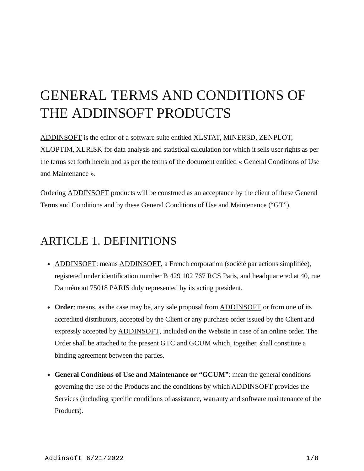# GENERAL TERMS AND CONDITIONS OF THE ADDINSOFT PRODUCTS

[ADDINSOFT](https://www.addinsoft.com/) is the editor of a software suite entitled XLSTAT, MINER3D, ZENPLOT, XLOPTIM, XLRISK for data analysis and statistical calculation for which it sells user rights as per the terms set forth herein and as per the terms of the document entitled « General Conditions of Use and Maintenance ».

Ordering **ADDINSOFT** products will be construed as an acceptance by the client of these General Terms and Conditions and by these General Conditions of Use and Maintenance ("GT").

### ARTICLE 1. DEFINITIONS

- [ADDINSOFT:](https://www.addinsoft.com/) means [ADDINSOFT,](https://www.addinsoft.com/) a French corporation (société par actions simplifiée), registered under identification number B 429 102 767 RCS Paris, and headquartered at 40, rue Damrémont 75018 PARIS duly represented by its acting president.
- Order: means, as the case may be, any sale proposal from **ADDINSOFT** or from one of its accredited distributors, accepted by the Client or any purchase order issued by the Client and expressly accepted by [ADDINSOFT](https://www.addinsoft.com/), included on the Website in case of an online order. The Order shall be attached to the present GTC and GCUM which, together, shall constitute a binding agreement between the parties.
- **General Conditions of Use and Maintenance or "GCUM"**: mean the general conditions governing the use of the Products and the conditions by which ADDINSOFT provides the Services (including specific conditions of assistance, warranty and software maintenance of the Products).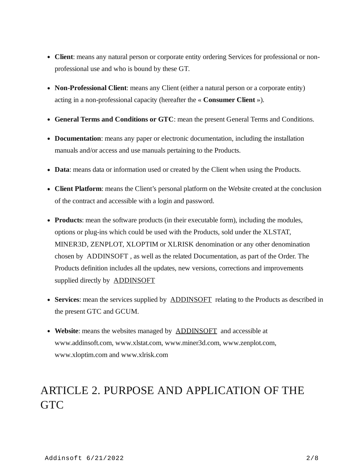- **Client**: means any natural person or corporate entity ordering Services for professional or nonprofessional use and who is bound by these GT.
- **Non-Professional Client**: means any Client (either a natural person or a corporate entity) acting in a non-professional capacity (hereafter the « **Consumer Client** »).
- **General Terms and Conditions or GTC**: mean the present General Terms and Conditions.
- **Documentation**: means any paper or electronic documentation, including the installation manuals and/or access and use manuals pertaining to the Products.
- **Data**: means data or information used or created by the Client when using the Products.
- **Client Platform**: means the Client's personal platform on the Website created at the conclusion of the contract and accessible with a login and password.
- **Products**: mean the software products (in their executable form), including the modules, options or plug-ins which could be used with the Products, sold under the XLSTAT, MINER3D, ZENPLOT, XLOPTIM or XLRISK denomination or any other denomination chosen by ADDINSOFT , as well as the related Documentation, as part of the Order. The Products definition includes all the updates, new versions, corrections and improvements supplied directly by **[ADDINSOFT](https://www.addinsoft.com/)**
- Services: mean the services supplied by **[ADDINSOFT](https://www.addinsoft.com/)** relating to the Products as described in the present GTC and GCUM.
- **Website**: means the websites managed by [ADDINSOFT](https://www.addinsoft.com/) and accessible at www.addinsoft.com, www.xlstat.com, www.miner3d.com, www.zenplot.com, www.xloptim.com and www.xlrisk.com

# ARTICLE 2. PURPOSE AND APPLICATION OF THE GTC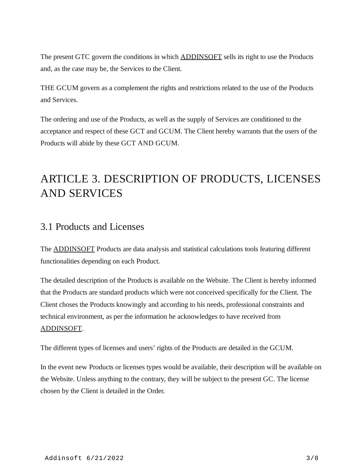The present GTC govern the conditions in which [ADDINSOFT](https://www.addinsoft.com/) sells its right to use the Products and, as the case may be, the Services to the Client.

THE GCUM govern as a complement the rights and restrictions related to the use of the Products and Services.

The ordering and use of the Products, as well as the supply of Services are conditioned to the acceptance and respect of these GCT and GCUM. The Client hereby warrants that the users of the Products will abide by these GCT AND GCUM.

# ARTICLE 3. DESCRIPTION OF PRODUCTS, LICENSES AND SERVICES

#### 3.1 Products and Licenses

The [ADDINSOFT](https://www.addinsoft.com/) Products are data analysis and statistical calculations tools featuring different functionalities depending on each Product.

The detailed description of the Products is available on the Website. The Client is hereby informed that the Products are standard products which were not conceived specifically for the Client. The Client choses the Products knowingly and according to his needs, professional constraints and technical environment, as per the information he acknowledges to have received from [ADDINSOFT.](https://www.addinsoft.com/)

The different types of licenses and users' rights of the Products are detailed in the GCUM.

In the event new Products or licenses types would be available, their description will be available on the Website. Unless anything to the contrary, they will be subject to the present GC. The license chosen by the Client is detailed in the Order.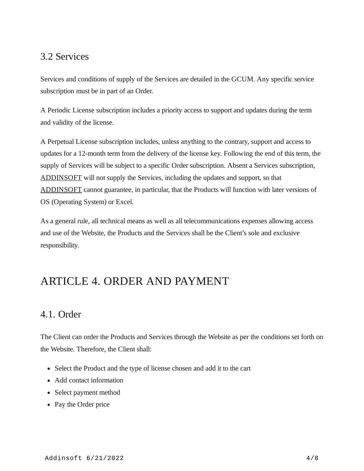### 3.2 Services

Services and conditions of supply of the Services are detailed in the GCUM. Any specific service subscription must be in part of an Order.

A Periodic License subscription includes a priority access to support and updates during the term and validity of the license.

A Perpetual License subscription includes, unless anything to the contrary, support and access to updates for a 12-month term from the delivery of the license key. Following the end of this term, the supply of Services will be subject to a specific Order subscription. Absent a Services subscription, [ADDINSOFT](https://www.addinsoft.com/) will not supply the Services, including the updates and support, so that [ADDINSOFT](https://www.addinsoft.com/) cannot guarantee, in particular, that the Products will function with later versions of OS (Operating System) or Excel.

As a general rule, all technical means as well as all telecommunications expenses allowing access and use of the Website, the Products and the Services shall be the Client's sole and exclusive responsibility.

# ARTICLE 4. ORDER AND PAYMENT

### 4.1. Order

The Client can order the Products and Services through the Website as per the conditions set forth on the Website. Therefore, the Client shall:

- Select the Product and the type of license chosen and add it to the cart
- Add contact information
- Select payment method
- Pay the Order price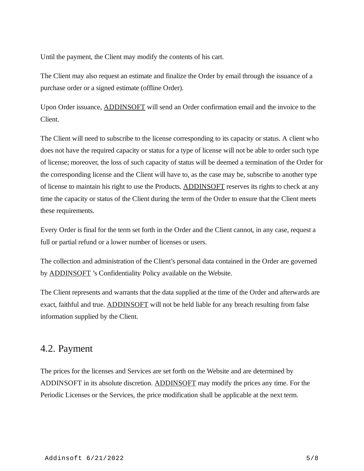Until the payment, the Client may modify the contents of his cart.

The Client may also request an estimate and finalize the Order by email through the issuance of a purchase order or a signed estimate (offline Order).

Upon Order issuance, [ADDINSOFT](https://www.addinsoft.com/) will send an Order confirmation email and the invoice to the Client.

The Client will need to subscribe to the license corresponding to its capacity or status. A client who does not have the required capacity or status for a type of license will not be able to order such type of license; moreover, the loss of such capacity of status will be deemed a termination of the Order for the corresponding license and the Client will have to, as the case may be, subscribe to another type of license to maintain his right to use the Products. [ADDINSOFT](https://www.addinsoft.com/) reserves its rights to check at any time the capacity or status of the Client during the term of the Order to ensure that the Client meets these requirements.

Every Order is final for the term set forth in the Order and the Client cannot, in any case, request a full or partial refund or a lower number of licenses or users.

The collection and administration of the Client's personal data contained in the Order are governed by **ADDINSOFT** 's Confidentiality Policy available on the Website.

The Client represents and warrants that the data supplied at the time of the Order and afterwards are exact, faithful and true. [ADDINSOFT](https://www.addinsoft.com/) will not be held liable for any breach resulting from false information supplied by the Client.

#### 4.2. Payment

The prices for the licenses and Services are set forth on the Website and are determined by ADDINSOFT in its absolute discretion. [ADDINSOFT](https://www.addinsoft.com/) may modify the prices any time. For the Periodic Licenses or the Services, the price modification shall be applicable at the next term.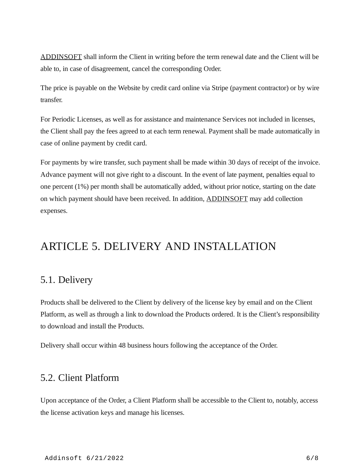[ADDINSOFT](https://www.addinsoft.com/) shall inform the Client in writing before the term renewal date and the Client will be able to, in case of disagreement, cancel the corresponding Order.

The price is payable on the Website by credit card online via Stripe (payment contractor) or by wire transfer.

For Periodic Licenses, as well as for assistance and maintenance Services not included in licenses, the Client shall pay the fees agreed to at each term renewal. Payment shall be made automatically in case of online payment by credit card.

For payments by wire transfer, such payment shall be made within 30 days of receipt of the invoice. Advance payment will not give right to a discount. In the event of late payment, penalties equal to one percent (1%) per month shall be automatically added, without prior notice, starting on the date on which payment should have been received. In addition, [ADDINSOFT](https://www.addinsoft.com/) may add collection expenses.

### ARTICLE 5. DELIVERY AND INSTALLATION

#### 5.1. Delivery

Products shall be delivered to the Client by delivery of the license key by email and on the Client Platform, as well as through a link to download the Products ordered. It is the Client's responsibility to download and install the Products.

Delivery shall occur within 48 business hours following the acceptance of the Order.

#### 5.2. Client Platform

Upon acceptance of the Order, a Client Platform shall be accessible to the Client to, notably, access the license activation keys and manage his licenses.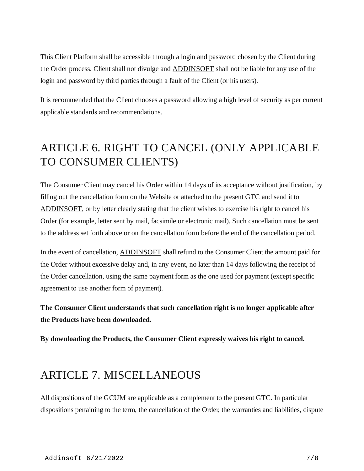This Client Platform shall be accessible through a login and password chosen by the Client during the Order process. Client shall not divulge and [ADDINSOFT](https://www.addinsoft.com/) shall not be liable for any use of the login and password by third parties through a fault of the Client (or his users).

It is recommended that the Client chooses a password allowing a high level of security as per current applicable standards and recommendations.

# ARTICLE 6. RIGHT TO CANCEL (ONLY APPLICABLE TO CONSUMER CLIENTS)

The Consumer Client may cancel his Order within 14 days of its acceptance without justification, by filling out the cancellation form on the Website or attached to the present GTC and send it to [ADDINSOFT,](https://www.addinsoft.com/) or by letter clearly stating that the client wishes to exercise his right to cancel his Order (for example, letter sent by mail, facsimile or electronic mail). Such cancellation must be sent to the address set forth above or on the cancellation form before the end of the cancellation period.

In the event of cancellation, [ADDINSOFT](https://www.addinsoft.com/) shall refund to the Consumer Client the amount paid for the Order without excessive delay and, in any event, no later than 14 days following the receipt of the Order cancellation, using the same payment form as the one used for payment (except specific agreement to use another form of payment).

**The Consumer Client understands that such cancellation right is no longer applicable after the Products have been downloaded.**

**By downloading the Products, the Consumer Client expressly waives his right to cancel.**

### ARTICLE 7. MISCELLANEOUS

All dispositions of the GCUM are applicable as a complement to the present GTC. In particular dispositions pertaining to the term, the cancellation of the Order, the warranties and liabilities, dispute